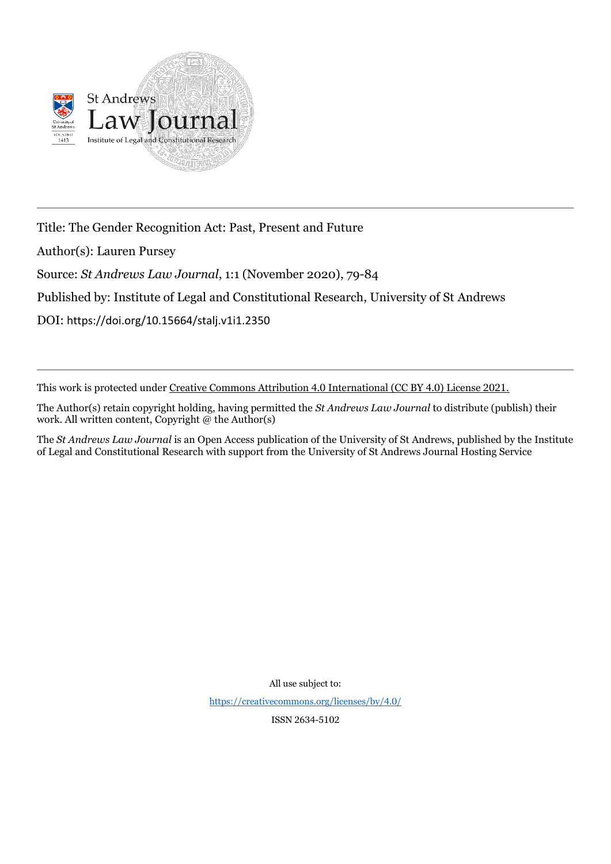

Title: The Gender Recognition Act: Past, Present and Future

Author(s): Lauren Pursey

Source: *St Andrews Law Journal*, 1:1 (November 2020), 79-84

Published by: Institute of Legal and Constitutional Research, University of St Andrews

DOI: https://doi.org/10.15664/stalj.v1i1.2350

This work is protected under Creative Commons Attribution 4.0 International (CC BY 4.0) License 2021.

The Author(s) retain copyright holding, having permitted the *St Andrews Law Journal* to distribute (publish) their work. All written content, Copyright  $@$  the Author(s)

The *St Andrews Law Journal* is an Open Access publication of the University of St Andrews, published by the Institute of Legal and Constitutional Research with support from the University of St Andrews Journal Hosting Service

All use subject to:

<https://creativecommons.org/licenses/by/4.0/>

ISSN 2634-5102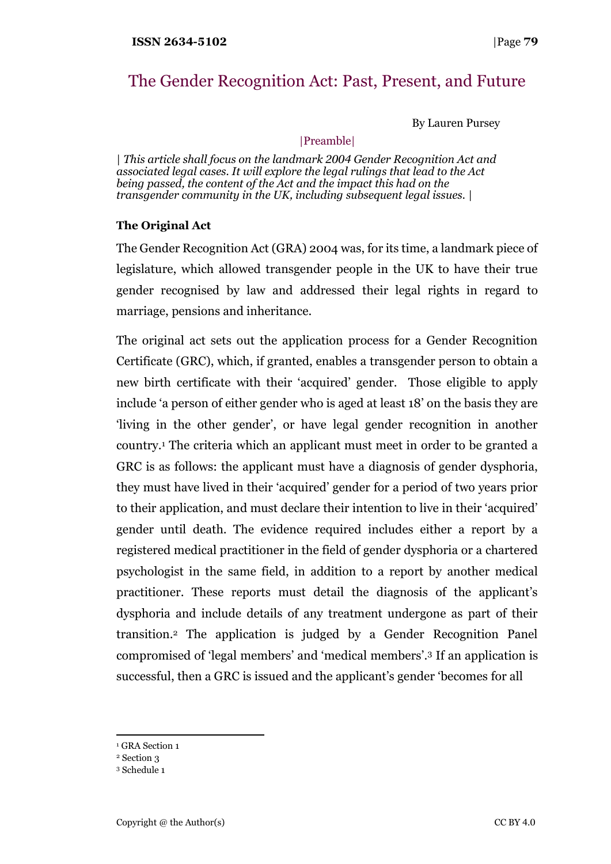# The Gender Recognition Act: Past, Present, and Future

By Lauren Pursey

|Preamble|

| *This article shall focus on the landmark 2004 Gender Recognition Act and associated legal cases. It will explore the legal rulings that lead to the Act being passed, the content of the Act and the impact this had on the transgender community in the UK, including subsequent legal issues.* |

# **The Original Act**

The Gender Recognition Act (GRA) 2004 was, for its time, a landmark piece of legislature, which allowed transgender people in the UK to have their true gender recognised by law and addressed their legal rights in regard to marriage, pensions and inheritance.

The original act sets out the application process for a Gender Recognition Certificate (GRC), which, if granted, enables a transgender person to obtain a new birth certificate with their 'acquired' gender. Those eligible to apply include 'a person of either gender who is aged at least 18' on the basis they are 'living in the other gender', or have legal gender recognition in another country. <sup>1</sup> The criteria which an applicant must meet in order to be granted a GRC is as follows: the applicant must have a diagnosis of gender dysphoria, they must have lived in their 'acquired' gender for a period of two years prior to their application, and must declare their intention to live in their 'acquired' gender until death. The evidence required includes either a report by a registered medical practitioner in the field of gender dysphoria or a chartered psychologist in the same field, in addition to a report by another medical practitioner. These reports must detail the diagnosis of the applicant's dysphoria and include details of any treatment undergone as part of their transition.<sup>2</sup> The application is judged by a Gender Recognition Panel compromised of 'legal members' and 'medical members'. <sup>3</sup> If an application is successful, then a GRC is issued and the applicant's gender 'becomes for all

- <sup>1</sup> GRA Section 1
- <sup>2</sup> Section 3
- <sup>3</sup> Schedule 1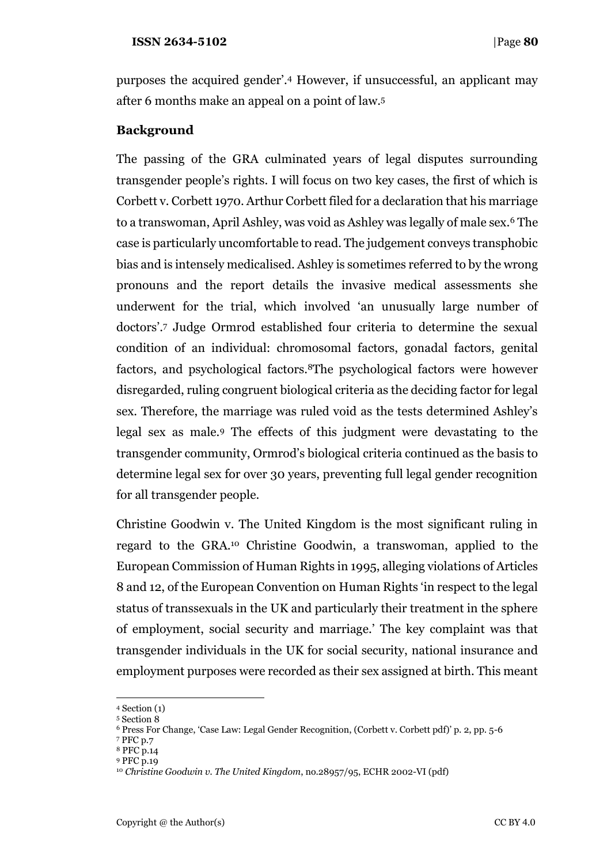purposes the acquired gender'.<sup>4</sup> However, if unsuccessful, an applicant may after 6 months make an appeal on a point of law.<sup>5</sup>

# **Background**

The passing of the GRA culminated years of legal disputes surrounding transgender people's rights. I will focus on two key cases, the first of which is Corbett v. Corbett 1970. Arthur Corbett filed for a declaration that his marriage to a transwoman, April Ashley, was void as Ashley was legally of male sex.<sup>6</sup> The case is particularly uncomfortable to read. The judgement conveys transphobic bias and is intensely medicalised. Ashley is sometimes referred to by the wrong pronouns and the report details the invasive medical assessments she underwent for the trial, which involved 'an unusually large number of doctors'.<sup>7</sup> Judge Ormrod established four criteria to determine the sexual condition of an individual: chromosomal factors, gonadal factors, genital factors, and psychological factors.8The psychological factors were however disregarded, ruling congruent biological criteria as the deciding factor for legal sex. Therefore, the marriage was ruled void as the tests determined Ashley's legal sex as male.<sup>9</sup> The effects of this judgment were devastating to the transgender community, Ormrod's biological criteria continued as the basis to determine legal sex for over 30 years, preventing full legal gender recognition for all transgender people.

Christine Goodwin v. The United Kingdom is the most significant ruling in regard to the GRA.<sup>10</sup> Christine Goodwin, a transwoman, applied to the European Commission of Human Rights in 1995, alleging violations of Articles 8 and 12, of the European Convention on Human Rights 'in respect to the legal status of transsexuals in the UK and particularly their treatment in the sphere of employment, social security and marriage.' The key complaint was that transgender individuals in the UK for social security, national insurance and employment purposes were recorded as their sex assigned at birth. This meant

<sup>7</sup> PFC p.7

<sup>4</sup> Section (1)

<sup>5</sup> Section 8

<sup>6</sup> Press For Change, 'Case Law: Legal Gender Recognition, (Corbett v. Corbett pdf)' p. 2, pp. 5-6

<sup>8</sup> PFC p.14

<sup>9</sup> PFC p.19

<sup>10</sup> *Christine Goodwin v. The United Kingdom*, no.28957/95, ECHR 2002-VI (pdf)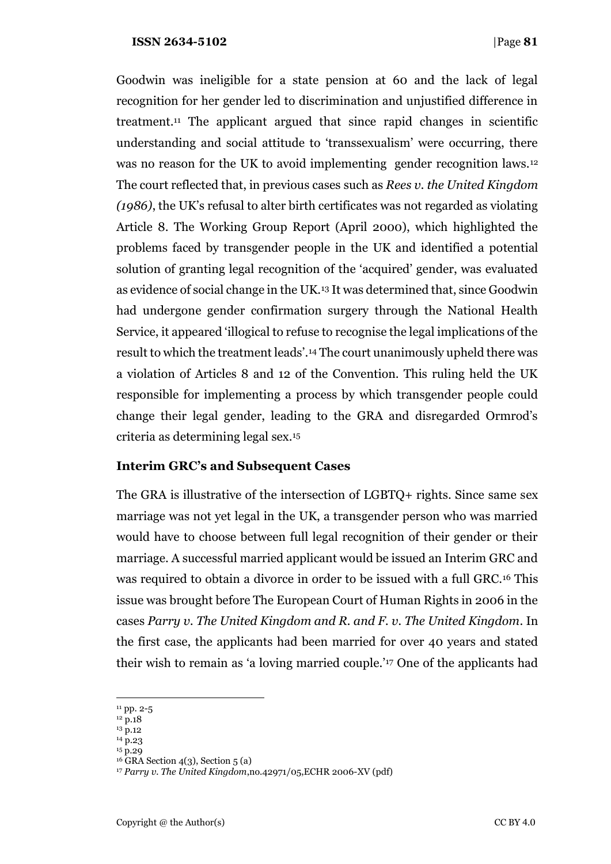### **ISSN 2634-5102** |Page **81**

Goodwin was ineligible for a state pension at 60 and the lack of legal recognition for her gender led to discrimination and unjustified difference in treatment.<sup>11</sup> The applicant argued that since rapid changes in scientific understanding and social attitude to 'transsexualism' were occurring, there was no reason for the UK to avoid implementing gender recognition laws.<sup>12</sup> The court reflected that, in previous cases such as *Rees v. the United Kingdom (1986)*, the UK's refusal to alter birth certificates was not regarded as violating Article 8. The Working Group Report (April 2000), which highlighted the problems faced by transgender people in the UK and identified a potential solution of granting legal recognition of the 'acquired' gender, was evaluated as evidence of social change in the UK.<sup>13</sup> It was determined that, since Goodwin had undergone gender confirmation surgery through the National Health Service, it appeared 'illogical to refuse to recognise the legal implications of the result to which the treatment leads'.<sup>14</sup> The court unanimously upheld there was a violation of Articles 8 and 12 of the Convention. This ruling held the UK responsible for implementing a process by which transgender people could change their legal gender, leading to the GRA and disregarded Ormrod's criteria as determining legal sex.<sup>15</sup>

## **Interim GRC's and Subsequent Cases**

The GRA is illustrative of the intersection of LGBTQ+ rights. Since same sex marriage was not yet legal in the UK, a transgender person who was married would have to choose between full legal recognition of their gender or their marriage. A successful married applicant would be issued an Interim GRC and was required to obtain a divorce in order to be issued with a full GRC.<sup>16</sup> This issue was brought before The European Court of Human Rights in 2006 in the cases *Parry v. The United Kingdom and R. and F. v. The United Kingdom*. In the first case, the applicants had been married for over 40 years and stated their wish to remain as 'a loving married couple.'<sup>17</sup> One of the applicants had

 $11$  pp. 2-5

<sup>12</sup> p.18

 $13 \text{ p.12}$  $14\overline{p}$ .23

<sup>15</sup> p.29

 $16$  GRA Section 4(3), Section 5 (a)

<sup>17</sup> *Parry v. The United Kingdom*,no.42971/05,ECHR 2006-XV (pdf)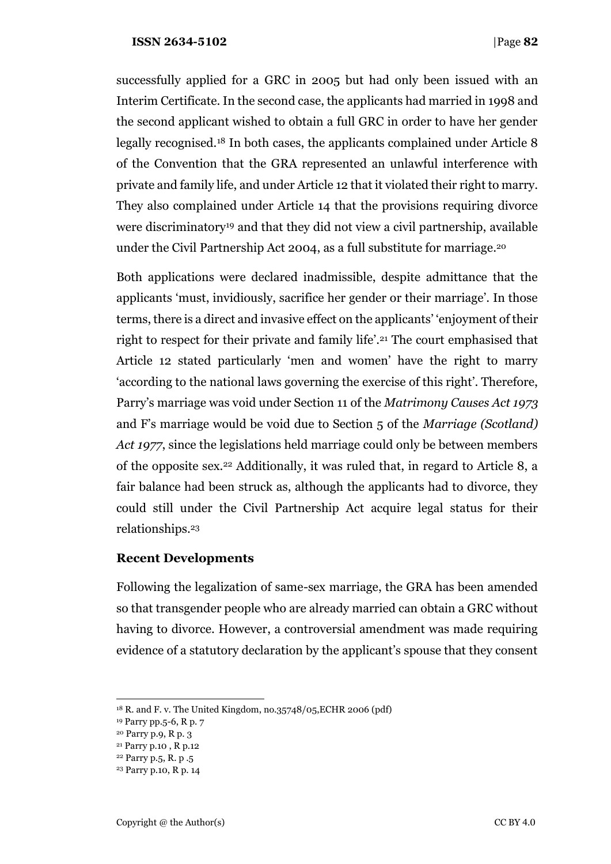### **ISSN 2634-5102** |Page **82**

successfully applied for a GRC in 2005 but had only been issued with an Interim Certificate. In the second case, the applicants had married in 1998 and the second applicant wished to obtain a full GRC in order to have her gender legally recognised.<sup>18</sup> In both cases, the applicants complained under Article 8 of the Convention that the GRA represented an unlawful interference with private and family life, and under Article 12 that it violated their right to marry. They also complained under Article 14 that the provisions requiring divorce were discriminatory<sup>19</sup> and that they did not view a civil partnership, available under the Civil Partnership Act 2004, as a full substitute for marriage. 20

Both applications were declared inadmissible, despite admittance that the applicants 'must, invidiously, sacrifice her gender or their marriage'. In those terms, there is a direct and invasive effect on the applicants' 'enjoyment of their right to respect for their private and family life'.<sup>21</sup> The court emphasised that Article 12 stated particularly 'men and women' have the right to marry 'according to the national laws governing the exercise of this right'. Therefore, Parry's marriage was void under Section 11 of the *Matrimony Causes Act 1973* and F's marriage would be void due to Section 5 of the *Marriage (Scotland) Act 1977*, since the legislations held marriage could only be between members of the opposite sex.<sup>22</sup> Additionally, it was ruled that, in regard to Article 8, a fair balance had been struck as, although the applicants had to divorce, they could still under the Civil Partnership Act acquire legal status for their relationships. 23

## **Recent Developments**

Following the legalization of same-sex marriage, the GRA has been amended so that transgender people who are already married can obtain a GRC without having to divorce. However, a controversial amendment was made requiring evidence of a statutory declaration by the applicant's spouse that they consent

<sup>18</sup> R. and F. v. The United Kingdom, no.35748/05,ECHR 2006 (pdf)

<sup>19</sup> Parry pp.5-6, R p. 7

<sup>20</sup> Parry p.9, R p. 3

<sup>21</sup> Parry p.10 , R p.12

<sup>22</sup> Parry p.5, R. p .5

<sup>23</sup> Parry p.10, R p. 14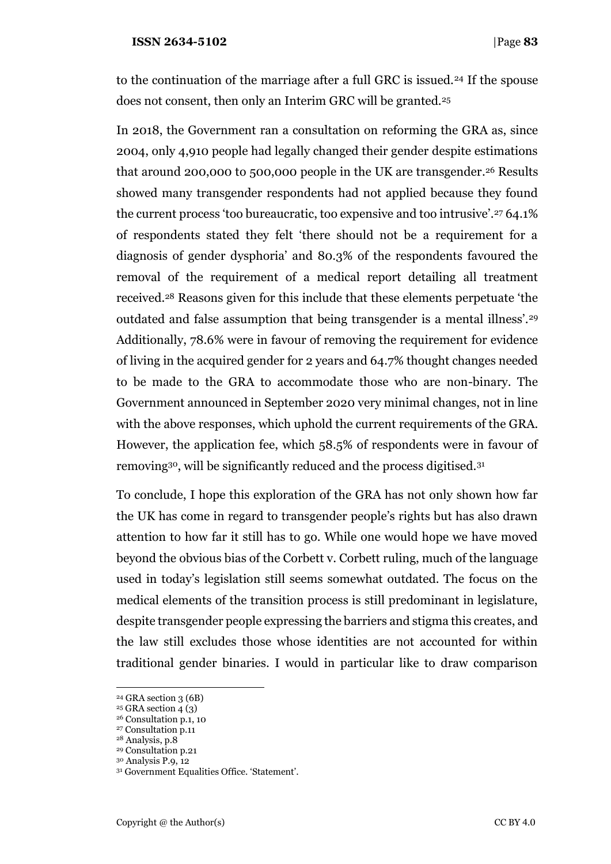#### **ISSN 2634-5102** |Page **83**

to the continuation of the marriage after a full GRC is issued.<sup>24</sup> If the spouse does not consent, then only an Interim GRC will be granted.<sup>25</sup>

In 2018, the Government ran a consultation on reforming the GRA as, since 2004, only 4,910 people had legally changed their gender despite estimations that around 200,000 to 500,000 people in the UK are transgender. <sup>26</sup> Results showed many transgender respondents had not applied because they found the current process 'too bureaucratic, too expensive and too intrusive'.<sup>27</sup> 64.1% of respondents stated they felt 'there should not be a requirement for a diagnosis of gender dysphoria' and 80.3% of the respondents favoured the removal of the requirement of a medical report detailing all treatment received.<sup>28</sup> Reasons given for this include that these elements perpetuate 'the outdated and false assumption that being transgender is a mental illness'.<sup>29</sup> Additionally, 78.6% were in favour of removing the requirement for evidence of living in the acquired gender for 2 years and 64.7% thought changes needed to be made to the GRA to accommodate those who are non-binary. The Government announced in September 2020 very minimal changes, not in line with the above responses, which uphold the current requirements of the GRA. However, the application fee, which 58.5% of respondents were in favour of removing30, will be significantly reduced and the process digitised.<sup>31</sup>

To conclude, I hope this exploration of the GRA has not only shown how far the UK has come in regard to transgender people's rights but has also drawn attention to how far it still has to go. While one would hope we have moved beyond the obvious bias of the Corbett v. Corbett ruling, much of the language used in today's legislation still seems somewhat outdated. The focus on the medical elements of the transition process is still predominant in legislature, despite transgender people expressing the barriers and stigma this creates, and the law still excludes those whose identities are not accounted for within traditional gender binaries. I would in particular like to draw comparison

<sup>24</sup> GRA section 3 (6B)

 $25$  GRA section 4 (3)

<sup>26</sup> Consultation p.1, 10

<sup>&</sup>lt;sup>27</sup> Consultation p.11

<sup>28</sup> Analysis, p.8

<sup>29</sup> Consultation p.21 <sup>30</sup> Analysis P.9, 12

<sup>31</sup> Government Equalities Office. 'Statement'.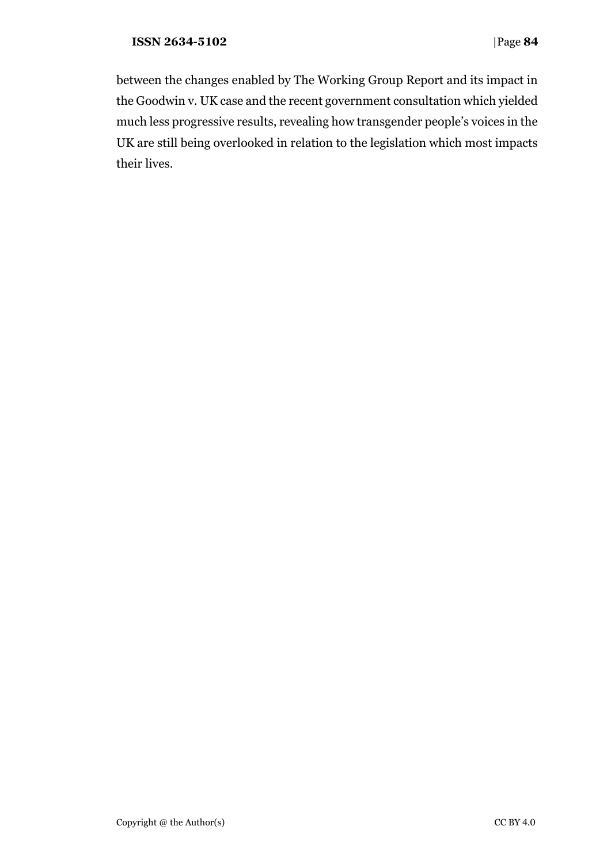between the changes enabled by The Working Group Report and its impact in the Goodwin v. UK case and the recent government consultation which yielded much less progressive results, revealing how transgender people's voices in the UK are still being overlooked in relation to the legislation which most impacts their lives.